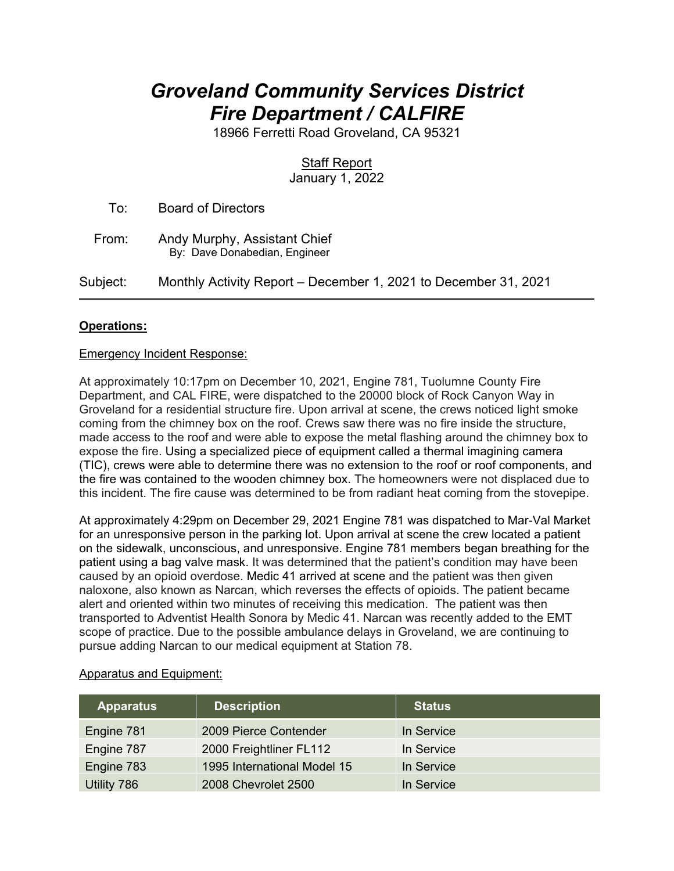# *Groveland Community Services District Fire Department / CALFIRE*

18966 Ferretti Road Groveland, CA 95321

## **Staff Report**

January 1, 2022

 To: Board of Directors From: Andy Murphy, Assistant Chief By: Dave Donabedian, Engineer Subject: Monthly Activity Report – December 1, 2021 to December 31, 2021

### **Operations:**

#### Emergency Incident Response:

At approximately 10:17pm on December 10, 2021, Engine 781, Tuolumne County Fire Department, and CAL FIRE, were dispatched to the 20000 block of Rock Canyon Way in Groveland for a residential structure fire. Upon arrival at scene, the crews noticed light smoke coming from the chimney box on the roof. Crews saw there was no fire inside the structure, made access to the roof and were able to expose the metal flashing around the chimney box to expose the fire. Using a specialized piece of equipment called a thermal imagining camera (TIC), crews were able to determine there was no extension to the roof or roof components, and the fire was contained to the wooden chimney box. The homeowners were not displaced due to this incident. The fire cause was determined to be from radiant heat coming from the stovepipe.

At approximately 4:29pm on December 29, 2021 Engine 781 was dispatched to Mar-Val Market for an unresponsive person in the parking lot. Upon arrival at scene the crew located a patient on the sidewalk, unconscious, and unresponsive. Engine 781 members began breathing for the patient using a bag valve mask. It was determined that the patient's condition may have been caused by an opioid overdose. Medic 41 arrived at scene and the patient was then given naloxone, also known as Narcan, which reverses the effects of opioids. The patient became alert and oriented within two minutes of receiving this medication. The patient was then transported to Adventist Health Sonora by Medic 41. Narcan was recently added to the EMT scope of practice. Due to the possible ambulance delays in Groveland, we are continuing to pursue adding Narcan to our medical equipment at Station 78.

| <b>Apparatus</b> | <b>Description</b>          | <b>Status</b> |
|------------------|-----------------------------|---------------|
| Engine 781       | 2009 Pierce Contender       | In Service    |
| Engine 787       | 2000 Freightliner FL112     | In Service    |
| Engine 783       | 1995 International Model 15 | In Service    |
| Utility 786      | 2008 Chevrolet 2500         | In Service    |

#### Apparatus and Equipment: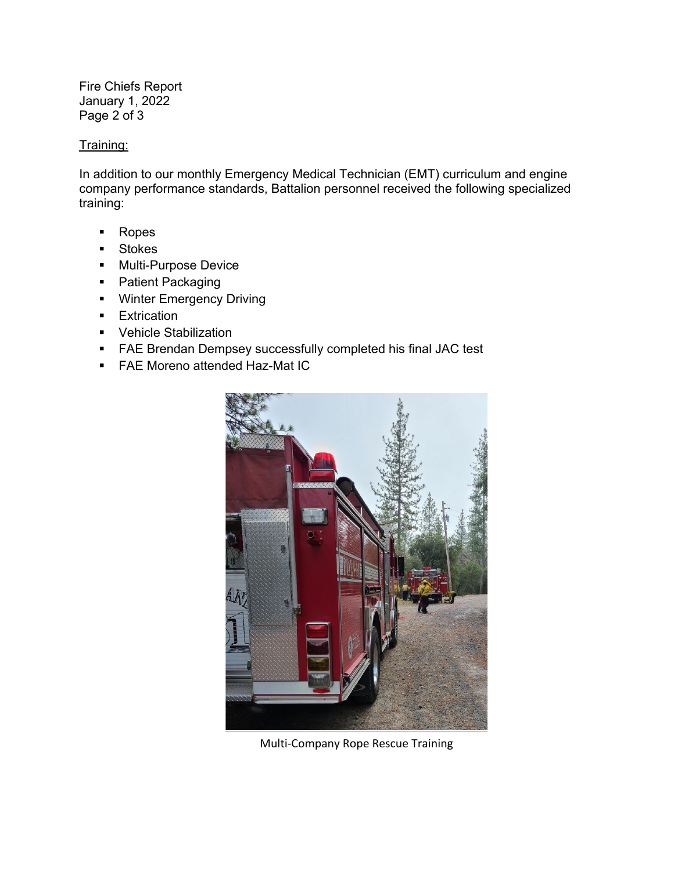Fire Chiefs Report January 1, 2022 Page 2 of 3

#### Training:

In addition to our monthly Emergency Medical Technician (EMT) curriculum and engine company performance standards, Battalion personnel received the following specialized training:

- Ropes
- **Stokes**
- **Multi-Purpose Device**
- Patient Packaging
- **Winter Emergency Driving**
- **Extrication**
- **•** Vehicle Stabilization
- FAE Brendan Dempsey successfully completed his final JAC test
- **FAE Moreno attended Haz-Mat IC**



Multi-Company Rope Rescue Training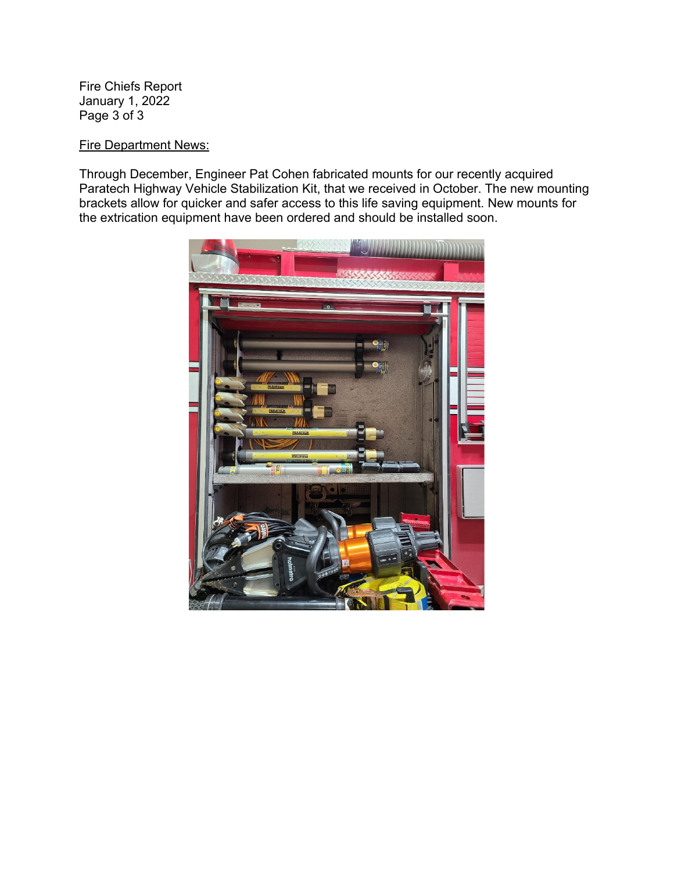Fire Chiefs Report January 1, 2022 Page 3 of 3

#### Fire Department News:

Through December, Engineer Pat Cohen fabricated mounts for our recently acquired Paratech Highway Vehicle Stabilization Kit, that we received in October. The new mounting brackets allow for quicker and safer access to this life saving equipment. New mounts for the extrication equipment have been ordered and should be installed soon.